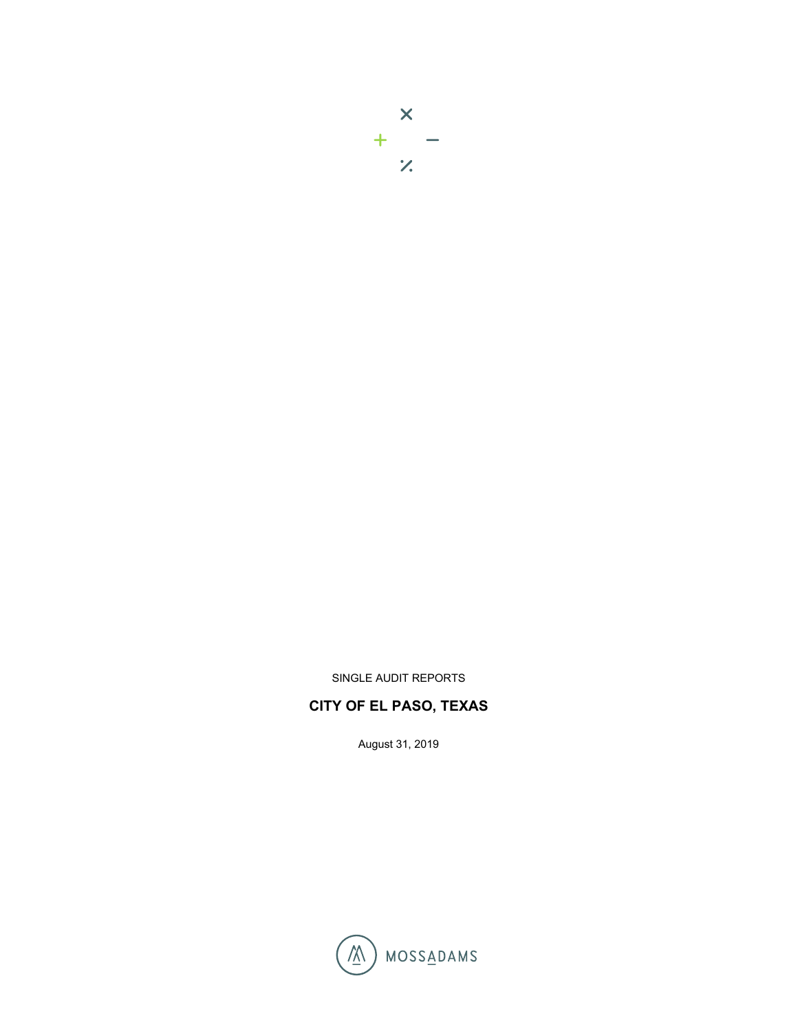

SINGLE AUDIT REPORTS

## **CITY OF EL PASO, TEXAS**

August 31, 2019

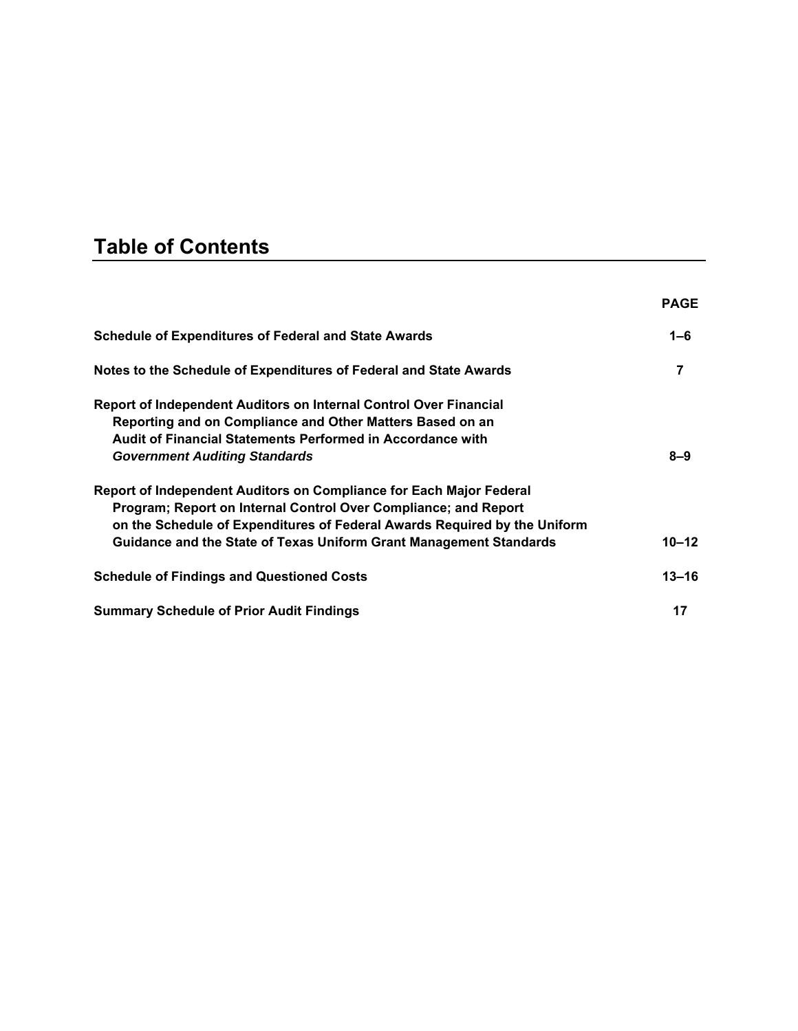# **Table of Contents**

|                                                                                                                                                                                                                                                                                           | <b>PAGE</b> |
|-------------------------------------------------------------------------------------------------------------------------------------------------------------------------------------------------------------------------------------------------------------------------------------------|-------------|
| <b>Schedule of Expenditures of Federal and State Awards</b>                                                                                                                                                                                                                               | 1–6         |
| Notes to the Schedule of Expenditures of Federal and State Awards                                                                                                                                                                                                                         | 7           |
| <b>Report of Independent Auditors on Internal Control Over Financial</b><br>Reporting and on Compliance and Other Matters Based on an<br>Audit of Financial Statements Performed in Accordance with<br><b>Government Auditing Standards</b>                                               | $8 - 9$     |
| Report of Independent Auditors on Compliance for Each Major Federal<br>Program; Report on Internal Control Over Compliance; and Report<br>on the Schedule of Expenditures of Federal Awards Required by the Uniform<br>Guidance and the State of Texas Uniform Grant Management Standards | $10 - 12$   |
| <b>Schedule of Findings and Questioned Costs</b>                                                                                                                                                                                                                                          | $13 - 16$   |
| <b>Summary Schedule of Prior Audit Findings</b>                                                                                                                                                                                                                                           | 17          |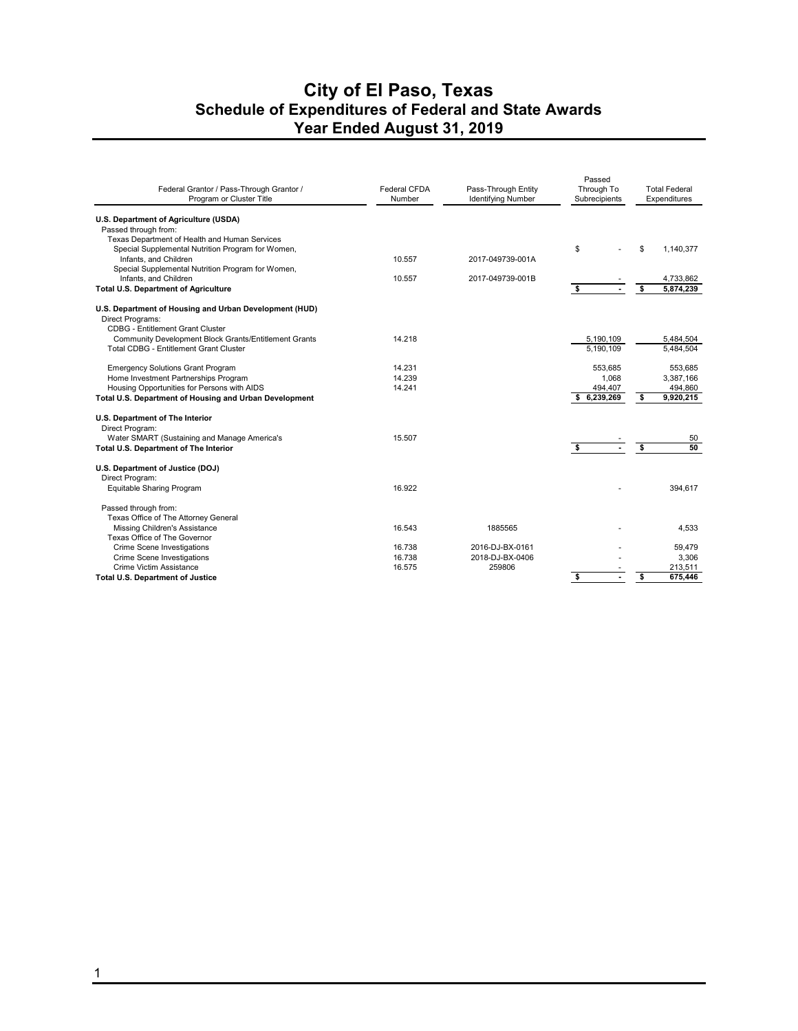| Federal Grantor / Pass-Through Grantor /<br>Program or Cluster Title       | <b>Federal CFDA</b><br>Number | Pass-Through Entity<br><b>Identifying Number</b> | Passed<br>Through To<br>Subrecipients | <b>Total Federal</b><br>Expenditures |
|----------------------------------------------------------------------------|-------------------------------|--------------------------------------------------|---------------------------------------|--------------------------------------|
| U.S. Department of Agriculture (USDA)                                      |                               |                                                  |                                       |                                      |
| Passed through from:                                                       |                               |                                                  |                                       |                                      |
| Texas Department of Health and Human Services                              |                               |                                                  |                                       |                                      |
| Special Supplemental Nutrition Program for Women,                          | 10.557                        |                                                  | \$                                    | \$<br>1,140,377                      |
| Infants, and Children                                                      |                               | 2017-049739-001A                                 |                                       |                                      |
| Special Supplemental Nutrition Program for Women,<br>Infants, and Children | 10.557                        | 2017-049739-001B                                 |                                       | 4,733,862                            |
| <b>Total U.S. Department of Agriculture</b>                                |                               |                                                  | \$                                    | \$<br>5,874,239                      |
|                                                                            |                               |                                                  |                                       |                                      |
| U.S. Department of Housing and Urban Development (HUD)                     |                               |                                                  |                                       |                                      |
| Direct Programs:                                                           |                               |                                                  |                                       |                                      |
| <b>CDBG - Entitlement Grant Cluster</b>                                    |                               |                                                  |                                       |                                      |
| Community Development Block Grants/Entitlement Grants                      | 14.218                        |                                                  | 5,190,109                             | 5,484,504                            |
| <b>Total CDBG - Entitlement Grant Cluster</b>                              |                               |                                                  | 5.190.109                             | 5,484,504                            |
|                                                                            |                               |                                                  |                                       |                                      |
| <b>Emergency Solutions Grant Program</b>                                   | 14.231                        |                                                  | 553,685                               | 553,685                              |
| Home Investment Partnerships Program                                       | 14.239                        |                                                  | 1.068                                 | 3,387,166                            |
| Housing Opportunities for Persons with AIDS                                | 14.241                        |                                                  | 494,407                               | 494,860                              |
| Total U.S. Department of Housing and Urban Development                     |                               |                                                  | \$6,239,269                           | 9.920.215<br>s                       |
|                                                                            |                               |                                                  |                                       |                                      |
| U.S. Department of The Interior<br>Direct Program:                         |                               |                                                  |                                       |                                      |
| Water SMART (Sustaining and Manage America's                               | 15.507                        |                                                  |                                       | 50                                   |
| Total U.S. Department of The Interior                                      |                               |                                                  | S,                                    | 50<br>\$                             |
|                                                                            |                               |                                                  |                                       |                                      |
| U.S. Department of Justice (DOJ)                                           |                               |                                                  |                                       |                                      |
| Direct Program:                                                            |                               |                                                  |                                       |                                      |
| Equitable Sharing Program                                                  | 16.922                        |                                                  |                                       | 394,617                              |
|                                                                            |                               |                                                  |                                       |                                      |
| Passed through from:                                                       |                               |                                                  |                                       |                                      |
| Texas Office of The Attorney General                                       |                               |                                                  |                                       |                                      |
| Missing Children's Assistance                                              | 16.543                        | 1885565                                          |                                       | 4,533                                |
| Texas Office of The Governor                                               |                               |                                                  |                                       |                                      |
| Crime Scene Investigations                                                 | 16.738                        | 2016-DJ-BX-0161                                  |                                       | 59,479                               |
| Crime Scene Investigations                                                 | 16.738                        | 2018-DJ-BX-0406                                  |                                       | 3,306                                |
| Crime Victim Assistance                                                    | 16.575                        | 259806                                           |                                       | 213,511                              |
| <b>Total U.S. Department of Justice</b>                                    |                               |                                                  | \$                                    | \$<br>675,446                        |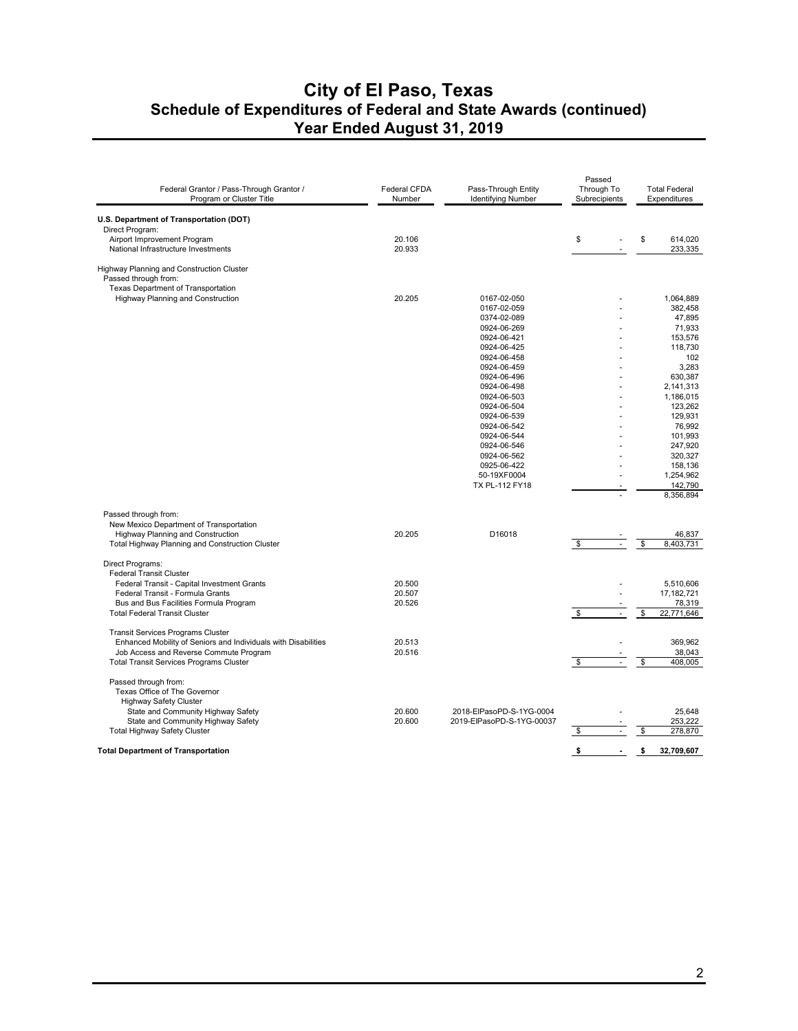| Federal Grantor / Pass-Through Grantor /<br>Program or Cluster Title                                                                                                                                                                                  | <b>Federal CFDA</b><br>Number | Pass-Through Entity<br>Identifying Number                                                                                                                                                                                                                                                                   | Passed<br>Through To<br>Subrecipients | <b>Total Federal</b><br>Expenditures                                                                                                                                                                                                 |
|-------------------------------------------------------------------------------------------------------------------------------------------------------------------------------------------------------------------------------------------------------|-------------------------------|-------------------------------------------------------------------------------------------------------------------------------------------------------------------------------------------------------------------------------------------------------------------------------------------------------------|---------------------------------------|--------------------------------------------------------------------------------------------------------------------------------------------------------------------------------------------------------------------------------------|
| U.S. Department of Transportation (DOT)                                                                                                                                                                                                               |                               |                                                                                                                                                                                                                                                                                                             |                                       |                                                                                                                                                                                                                                      |
| Direct Program:<br>Airport Improvement Program<br>National Infrastructure Investments                                                                                                                                                                 | 20.106<br>20.933              |                                                                                                                                                                                                                                                                                                             | \$                                    | \$<br>614,020<br>233,335                                                                                                                                                                                                             |
| Highway Planning and Construction Cluster<br>Passed through from:<br>Texas Department of Transportation                                                                                                                                               |                               |                                                                                                                                                                                                                                                                                                             |                                       |                                                                                                                                                                                                                                      |
| Highway Planning and Construction                                                                                                                                                                                                                     | 20.205                        | 0167-02-050<br>0167-02-059<br>0374-02-089<br>0924-06-269<br>0924-06-421<br>0924-06-425<br>0924-06-458<br>0924-06-459<br>0924-06-496<br>0924-06-498<br>0924-06-503<br>0924-06-504<br>0924-06-539<br>0924-06-542<br>0924-06-544<br>0924-06-546<br>0924-06-562<br>0925-06-422<br>50-19XF0004<br>TX PL-112 FY18 |                                       | 1,064,889<br>382,458<br>47,895<br>71,933<br>153,576<br>118,730<br>102<br>3,283<br>630,387<br>2,141,313<br>1,186,015<br>123,262<br>129,931<br>76,992<br>101,993<br>247,920<br>320,327<br>158,136<br>1,254,962<br>142,790<br>8,356,894 |
| Passed through from:<br>New Mexico Department of Transportation<br>Highway Planning and Construction<br>Total Highway Planning and Construction Cluster                                                                                               | 20.205                        | D16018                                                                                                                                                                                                                                                                                                      | \$                                    | 46,837<br>\$<br>8.403.731                                                                                                                                                                                                            |
| Direct Programs:<br><b>Federal Transit Cluster</b><br>Federal Transit - Capital Investment Grants<br>Federal Transit - Formula Grants<br>Bus and Bus Facilities Formula Program                                                                       | 20.500<br>20.507<br>20.526    |                                                                                                                                                                                                                                                                                                             |                                       | 5,510,606<br>17,182,721<br>78,319                                                                                                                                                                                                    |
| <b>Total Federal Transit Cluster</b><br><b>Transit Services Programs Cluster</b><br>Enhanced Mobility of Seniors and Individuals with Disabilities<br>Job Access and Reverse Commute Program<br><b>Total Transit Services Programs Cluster</b>        | 20.513<br>20.516              |                                                                                                                                                                                                                                                                                                             | \$<br>\$                              | \$<br>22,771,646<br>369,962<br>38,043<br>\$<br>408,005                                                                                                                                                                               |
| Passed through from:<br>Texas Office of The Governor<br><b>Highway Safety Cluster</b><br>State and Community Highway Safety<br>State and Community Highway Safety<br><b>Total Highway Safety Cluster</b><br><b>Total Department of Transportation</b> | 20.600<br>20.600              | 2018-ElPasoPD-S-1YG-0004<br>2019-ElPasoPD-S-1YG-00037                                                                                                                                                                                                                                                       | \$<br>\$                              | 25,648<br>253,222<br>\$<br>278,870<br>\$<br>32,709,607                                                                                                                                                                               |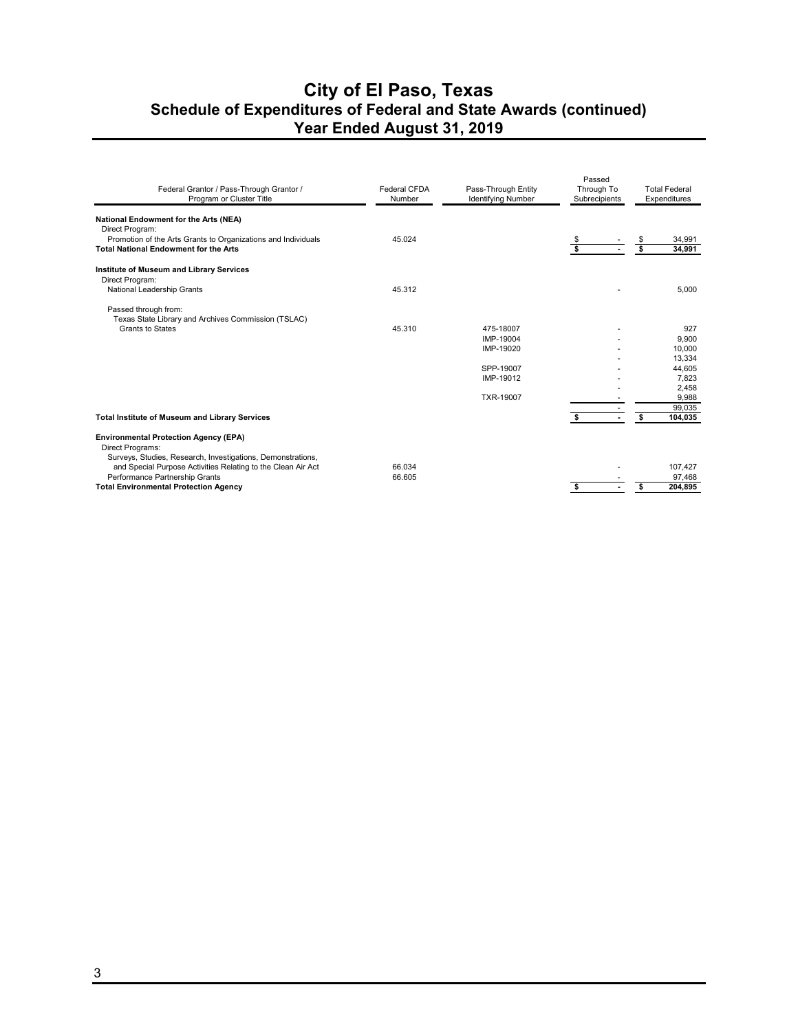| Federal Grantor / Pass-Through Grantor /<br>Program or Cluster Title                                                                                                                            | Federal CFDA<br>Number | Pass-Through Entity<br><b>Identifying Number</b>              | Passed | Through To<br>Subrecipients |     | <b>Total Federal</b><br>Expenditures                         |
|-------------------------------------------------------------------------------------------------------------------------------------------------------------------------------------------------|------------------------|---------------------------------------------------------------|--------|-----------------------------|-----|--------------------------------------------------------------|
| National Endowment for the Arts (NEA)<br>Direct Program:                                                                                                                                        |                        |                                                               |        |                             |     |                                                              |
| Promotion of the Arts Grants to Organizations and Individuals                                                                                                                                   | 45.024                 |                                                               |        |                             |     | 34,991                                                       |
| <b>Total National Endowment for the Arts</b>                                                                                                                                                    |                        |                                                               |        |                             |     | 34.991                                                       |
| Institute of Museum and Library Services<br>Direct Program:                                                                                                                                     |                        |                                                               |        |                             |     |                                                              |
| National Leadership Grants                                                                                                                                                                      | 45.312                 |                                                               |        |                             |     | 5,000                                                        |
| Passed through from:<br>Texas State Library and Archives Commission (TSLAC)<br>Grants to States                                                                                                 | 45.310                 | 475-18007<br>IMP-19004<br>IMP-19020<br>SPP-19007<br>IMP-19012 |        |                             |     | 927<br>9.900<br>10,000<br>13,334<br>44,605<br>7,823<br>2,458 |
|                                                                                                                                                                                                 |                        | TXR-19007                                                     |        |                             |     | 9.988                                                        |
|                                                                                                                                                                                                 |                        |                                                               |        |                             |     | 99,035                                                       |
| <b>Total Institute of Museum and Library Services</b>                                                                                                                                           |                        |                                                               | s.     |                             | -S. | 104,035                                                      |
| <b>Environmental Protection Agency (EPA)</b><br>Direct Programs:<br>Surveys, Studies, Research, Investigations, Demonstrations,<br>and Special Purpose Activities Relating to the Clean Air Act | 66.034                 |                                                               |        |                             |     | 107,427                                                      |
| Performance Partnership Grants                                                                                                                                                                  | 66.605                 |                                                               |        |                             |     | 97,468                                                       |
| <b>Total Environmental Protection Agency</b>                                                                                                                                                    |                        |                                                               |        |                             |     | 204,895                                                      |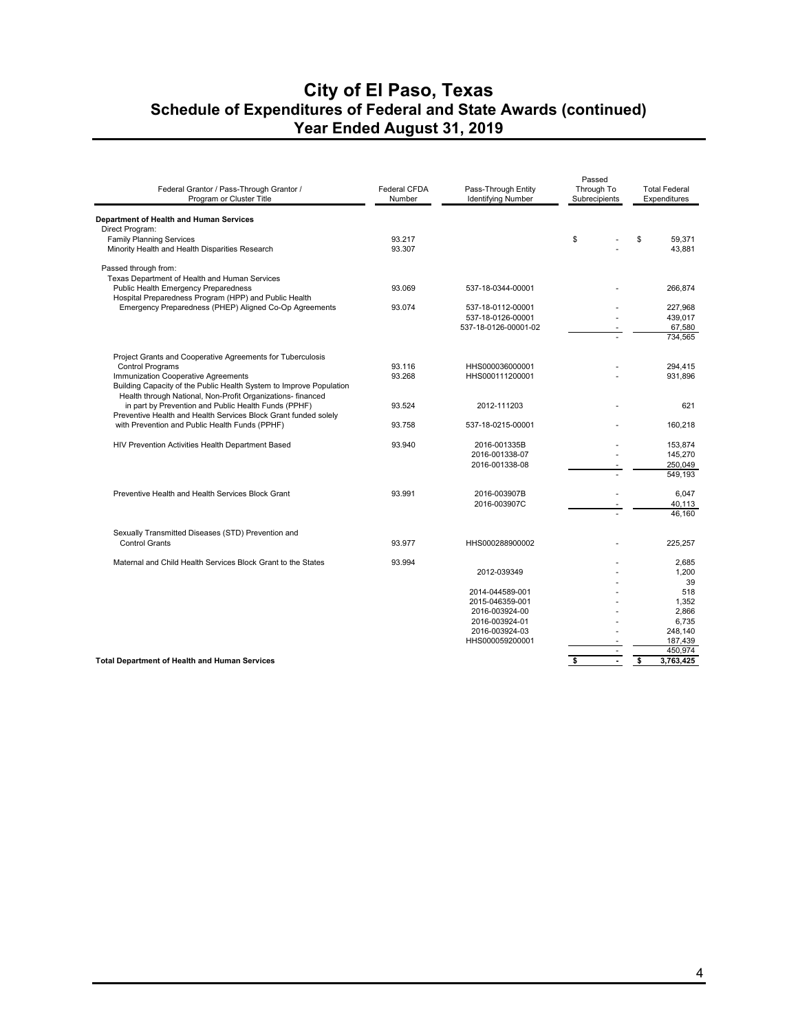| Federal Grantor / Pass-Through Grantor /<br>Program or Cluster Title | Federal CFDA<br>Number | Pass-Through Entity<br><b>Identifying Number</b> | Passed<br>Through To<br>Subrecipients |                          | <b>Total Federal</b><br>Expenditures |
|----------------------------------------------------------------------|------------------------|--------------------------------------------------|---------------------------------------|--------------------------|--------------------------------------|
| Department of Health and Human Services                              |                        |                                                  |                                       |                          |                                      |
| Direct Program:                                                      |                        |                                                  |                                       |                          |                                      |
| <b>Family Planning Services</b>                                      | 93.217                 |                                                  | \$                                    |                          | \$<br>59.371                         |
| Minority Health and Health Disparities Research                      | 93.307                 |                                                  |                                       |                          | 43.881                               |
| Passed through from:                                                 |                        |                                                  |                                       |                          |                                      |
| Texas Department of Health and Human Services                        |                        |                                                  |                                       |                          |                                      |
| Public Health Emergency Preparedness                                 | 93.069                 | 537-18-0344-00001                                |                                       |                          | 266,874                              |
| Hospital Preparedness Program (HPP) and Public Health                |                        |                                                  |                                       |                          |                                      |
| Emergency Preparedness (PHEP) Aligned Co-Op Agreements               | 93.074                 | 537-18-0112-00001                                |                                       |                          | 227,968                              |
|                                                                      |                        | 537-18-0126-00001                                |                                       |                          | 439,017                              |
|                                                                      |                        | 537-18-0126-00001-02                             |                                       |                          | 67,580                               |
|                                                                      |                        |                                                  |                                       |                          | 734,565                              |
| Project Grants and Cooperative Agreements for Tuberculosis           |                        |                                                  |                                       |                          |                                      |
| <b>Control Programs</b>                                              | 93.116                 | HHS000036000001                                  |                                       |                          | 294.415                              |
| Immunization Cooperative Agreements                                  | 93.268                 | HHS000111200001                                  |                                       |                          | 931,896                              |
| Building Capacity of the Public Health System to Improve Population  |                        |                                                  |                                       |                          |                                      |
| Health through National, Non-Profit Organizations- financed          |                        |                                                  |                                       |                          |                                      |
| in part by Prevention and Public Health Funds (PPHF)                 | 93.524                 | 2012-111203                                      |                                       |                          | 621                                  |
| Preventive Health and Health Services Block Grant funded solely      |                        |                                                  |                                       |                          |                                      |
| with Prevention and Public Health Funds (PPHF)                       | 93.758                 | 537-18-0215-00001                                |                                       |                          | 160.218                              |
| HIV Prevention Activities Health Department Based                    | 93.940                 | 2016-001335B                                     |                                       |                          | 153.874                              |
|                                                                      |                        | 2016-001338-07                                   |                                       |                          | 145,270                              |
|                                                                      |                        | 2016-001338-08                                   |                                       |                          | 250,049                              |
|                                                                      |                        |                                                  |                                       |                          | 549.193                              |
| Preventive Health and Health Services Block Grant                    | 93.991                 | 2016-003907B                                     |                                       |                          | 6.047                                |
|                                                                      |                        | 2016-003907C                                     |                                       |                          | 40,113                               |
|                                                                      |                        |                                                  |                                       |                          | 46.160                               |
|                                                                      |                        |                                                  |                                       |                          |                                      |
| Sexually Transmitted Diseases (STD) Prevention and                   |                        |                                                  |                                       |                          |                                      |
| Control Grants                                                       | 93.977                 | HHS000288900002                                  |                                       |                          | 225,257                              |
| Maternal and Child Health Services Block Grant to the States         | 93.994                 |                                                  |                                       |                          | 2.685                                |
|                                                                      |                        | 2012-039349                                      |                                       |                          | 1,200                                |
|                                                                      |                        |                                                  |                                       |                          | 39                                   |
|                                                                      |                        | 2014-044589-001                                  |                                       |                          | 518                                  |
|                                                                      |                        | 2015-046359-001                                  |                                       |                          | 1.352                                |
|                                                                      |                        | 2016-003924-00                                   |                                       |                          | 2,866                                |
|                                                                      |                        | 2016-003924-01                                   |                                       |                          | 6,735                                |
|                                                                      |                        | 2016-003924-03                                   |                                       |                          | 248,140                              |
|                                                                      |                        | HHS000059200001                                  |                                       |                          | 187,439                              |
|                                                                      |                        |                                                  |                                       | $\overline{\phantom{a}}$ | 450.974                              |
| <b>Total Department of Health and Human Services</b>                 |                        |                                                  | \$                                    |                          | \$<br>3,763,425                      |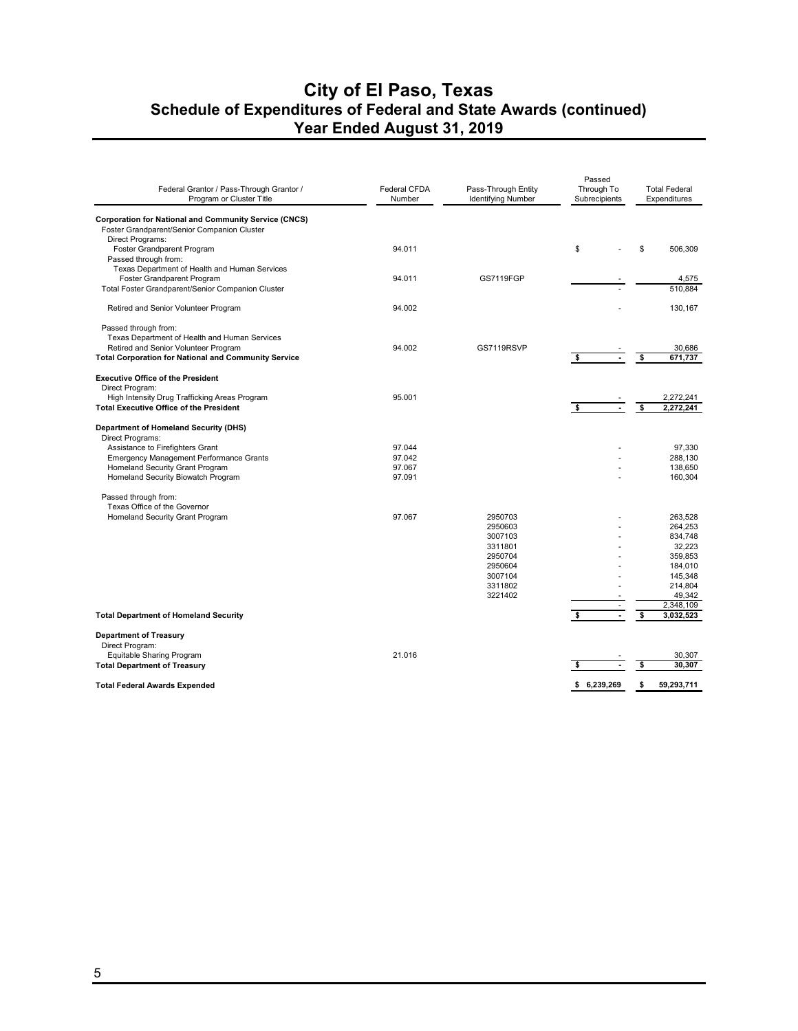| Federal Grantor / Pass-Through Grantor /<br>Program or Cluster Title                                                                                                                                                     | <b>Federal CFDA</b><br>Number        | Pass-Through Entity<br><b>Identifying Number</b>                                                | Passed<br>Through To<br>Subrecipients            | <b>Total Federal</b><br>Expenditures                                                                                          |
|--------------------------------------------------------------------------------------------------------------------------------------------------------------------------------------------------------------------------|--------------------------------------|-------------------------------------------------------------------------------------------------|--------------------------------------------------|-------------------------------------------------------------------------------------------------------------------------------|
| <b>Corporation for National and Community Service (CNCS)</b><br>Foster Grandparent/Senior Companion Cluster<br>Direct Programs:                                                                                          |                                      |                                                                                                 |                                                  |                                                                                                                               |
| Foster Grandparent Program<br>Passed through from:                                                                                                                                                                       | 94.011                               |                                                                                                 | \$                                               | \$<br>506,309                                                                                                                 |
| Texas Department of Health and Human Services<br>Foster Grandparent Program<br>Total Foster Grandparent/Senior Companion Cluster                                                                                         | 94.011                               | GS7119FGP                                                                                       |                                                  | 4,575<br>510,884                                                                                                              |
| Retired and Senior Volunteer Program                                                                                                                                                                                     | 94.002                               |                                                                                                 |                                                  | 130,167                                                                                                                       |
| Passed through from:<br>Texas Department of Health and Human Services<br>Retired and Senior Volunteer Program<br><b>Total Corporation for National and Community Service</b>                                             | 94.002                               | GS7119RSVP                                                                                      | \$                                               | 30,686<br>671,737<br>\$                                                                                                       |
| <b>Executive Office of the President</b><br>Direct Program:<br>High Intensity Drug Trafficking Areas Program<br><b>Total Executive Office of the President</b>                                                           | 95.001                               |                                                                                                 | \$<br>$\overline{a}$                             | 2,272,241<br>\$<br>2,272,241                                                                                                  |
| Department of Homeland Security (DHS)<br>Direct Programs:<br>Assistance to Firefighters Grant<br><b>Emergency Management Performance Grants</b><br>Homeland Security Grant Program<br>Homeland Security Biowatch Program | 97.044<br>97.042<br>97.067<br>97.091 |                                                                                                 |                                                  | 97.330<br>288,130<br>138,650<br>160,304                                                                                       |
| Passed through from:<br>Texas Office of the Governor<br>Homeland Security Grant Program<br><b>Total Department of Homeland Security</b>                                                                                  | 97.067                               | 2950703<br>2950603<br>3007103<br>3311801<br>2950704<br>2950604<br>3007104<br>3311802<br>3221402 | $\overline{\phantom{a}}$<br>\$<br>$\overline{a}$ | 263,528<br>264,253<br>834,748<br>32,223<br>359.853<br>184,010<br>145.348<br>214,804<br>49,342<br>2,348,109<br>\$<br>3,032,523 |
| <b>Department of Treasury</b>                                                                                                                                                                                            |                                      |                                                                                                 |                                                  |                                                                                                                               |
| Direct Program:<br>Equitable Sharing Program<br><b>Total Department of Treasury</b>                                                                                                                                      | 21.016                               |                                                                                                 | \$                                               | 30,307<br>30.307<br>\$                                                                                                        |
| <b>Total Federal Awards Expended</b>                                                                                                                                                                                     |                                      |                                                                                                 | \$6,239,269                                      | \$<br>59,293,711                                                                                                              |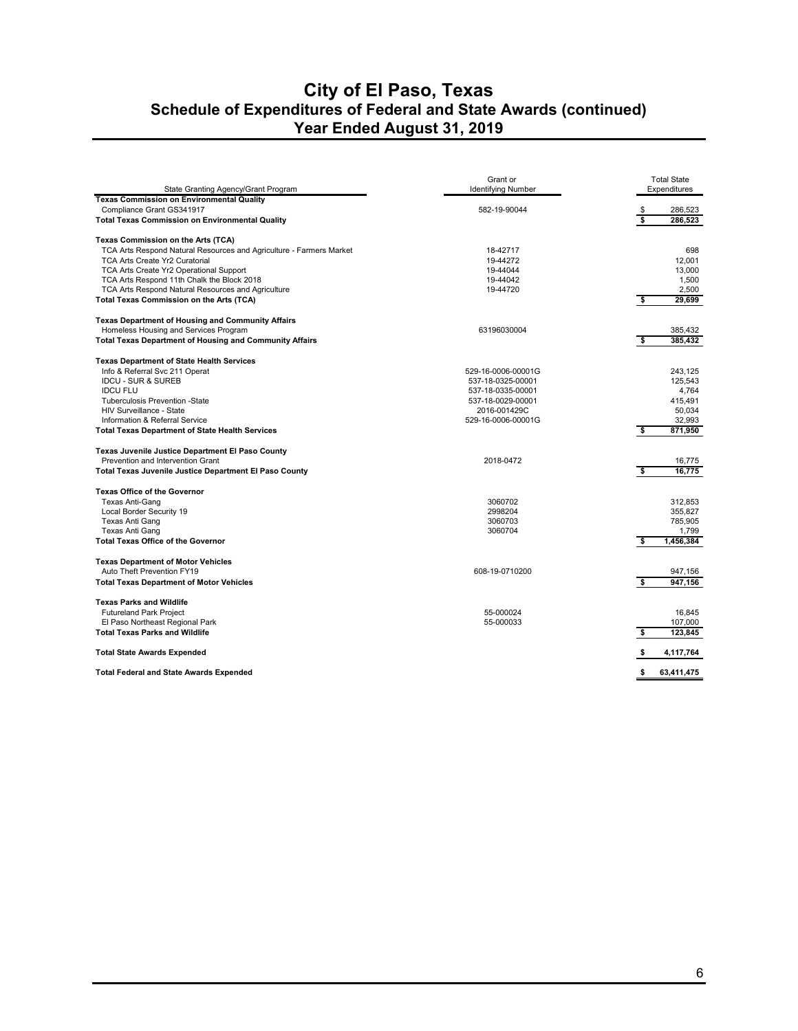| State Granting Agency/Grant Program                                 | Grant or<br><b>Identifying Number</b> |                         | <b>Total State</b><br>Expenditures |
|---------------------------------------------------------------------|---------------------------------------|-------------------------|------------------------------------|
| <b>Texas Commission on Environmental Quality</b>                    |                                       |                         |                                    |
| Compliance Grant GS341917                                           | 582-19-90044                          | \$                      | 286,523                            |
| <b>Total Texas Commission on Environmental Quality</b>              |                                       | s,                      | 286,523                            |
| Texas Commission on the Arts (TCA)                                  |                                       |                         |                                    |
| TCA Arts Respond Natural Resources and Agriculture - Farmers Market | 18-42717                              |                         | 698                                |
| TCA Arts Create Yr2 Curatorial                                      | 19-44272                              |                         | 12,001                             |
| TCA Arts Create Yr2 Operational Support                             | 19-44044                              |                         | 13,000                             |
| TCA Arts Respond 11th Chalk the Block 2018                          | 19-44042                              |                         | 1,500                              |
| TCA Arts Respond Natural Resources and Agriculture                  | 19-44720                              |                         | 2,500                              |
| Total Texas Commission on the Arts (TCA)                            |                                       | \$                      | 29,699                             |
| <b>Texas Department of Housing and Community Affairs</b>            |                                       |                         |                                    |
| Homeless Housing and Services Program                               | 63196030004                           |                         | 385,432                            |
| <b>Total Texas Department of Housing and Community Affairs</b>      |                                       | \$                      | 385.432                            |
| <b>Texas Department of State Health Services</b>                    |                                       |                         |                                    |
| Info & Referral Svc 211 Operat                                      | 529-16-0006-00001G                    |                         | 243.125                            |
| <b>IDCU - SUR &amp; SUREB</b>                                       | 537-18-0325-00001                     |                         | 125.543                            |
| <b>IDCU FLU</b>                                                     | 537-18-0335-00001                     |                         | 4,764                              |
| <b>Tuberculosis Prevention - State</b>                              | 537-18-0029-00001                     |                         | 415,491                            |
| <b>HIV Surveillance - State</b>                                     | 2016-001429C                          |                         | 50,034                             |
| Information & Referral Service                                      | 529-16-0006-00001G                    |                         | 32,993                             |
| <b>Total Texas Department of State Health Services</b>              |                                       | \$                      | 871,950                            |
| Texas Juvenile Justice Department El Paso County                    |                                       |                         |                                    |
| Prevention and Intervention Grant                                   | 2018-0472                             |                         | 16,775                             |
| Total Texas Juvenile Justice Department El Paso County              |                                       | \$                      | 16,775                             |
| <b>Texas Office of the Governor</b>                                 |                                       |                         |                                    |
| Texas Anti-Gang                                                     | 3060702                               |                         | 312,853                            |
| Local Border Security 19                                            | 2998204                               |                         | 355,827                            |
| Texas Anti Gang                                                     | 3060703                               |                         | 785,905                            |
| Texas Anti Gang                                                     | 3060704                               |                         | 1,799                              |
| <b>Total Texas Office of the Governor</b>                           |                                       | \$                      | 1,456,384                          |
| <b>Texas Department of Motor Vehicles</b>                           |                                       |                         |                                    |
| Auto Theft Prevention FY19                                          | 608-19-0710200                        |                         | 947,156                            |
| <b>Total Texas Department of Motor Vehicles</b>                     |                                       | S.                      | 947,156                            |
| <b>Texas Parks and Wildlife</b>                                     |                                       |                         |                                    |
| <b>Futureland Park Project</b>                                      | 55-000024                             |                         | 16.845                             |
| El Paso Northeast Regional Park                                     | 55-000033                             |                         | 107,000                            |
| <b>Total Texas Parks and Wildlife</b>                               |                                       | $\overline{\mathbf{s}}$ | 123,845                            |
| <b>Total State Awards Expended</b>                                  |                                       | \$                      | 4,117,764                          |
| <b>Total Federal and State Awards Expended</b>                      |                                       | \$                      | 63,411,475                         |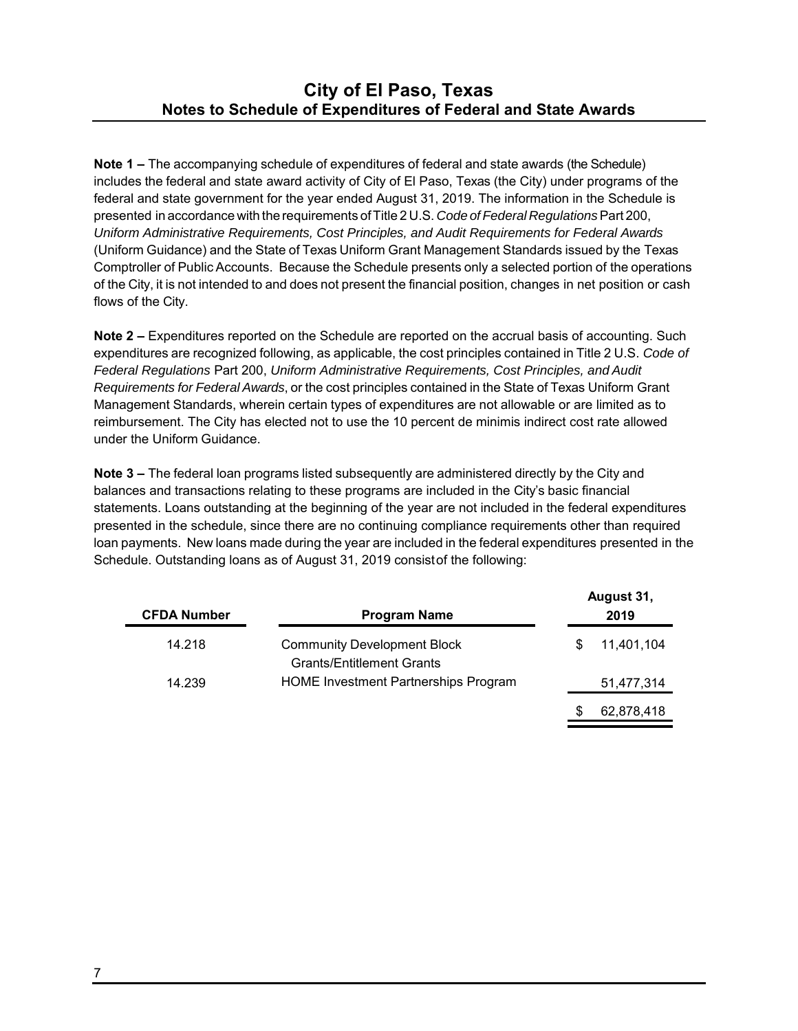**Note 1 –** The accompanying schedule of expenditures of federal and state awards (the Schedule) includes the federal and state award activity of City of El Paso, Texas (the City) under programs of the federal and state government for the year ended August 31, 2019. The information in the Schedule is presented in accordance with the requirements of Title 2 U.S. *Code of Federal Regulations* Part 200, *Uniform Administrative Requirements, Cost Principles, and Audit Requirements for Federal Awards*  (Uniform Guidance) and the State of Texas Uniform Grant Management Standards issued by the Texas Comptroller of Public Accounts. Because the Schedule presents only a selected portion of the operations of the City, it is not intended to and does not present the financial position, changes in net position or cash flows of the City.

**Note 2 –** Expenditures reported on the Schedule are reported on the accrual basis of accounting. Such expenditures are recognized following, as applicable, the cost principles contained in Title 2 U.S. *Code of Federal Regulations* Part 200, *Uniform Administrative Requirements, Cost Principles, and Audit Requirements for Federal Awards*, or the cost principles contained in the State of Texas Uniform Grant Management Standards, wherein certain types of expenditures are not allowable or are limited as to reimbursement. The City has elected not to use the 10 percent de minimis indirect cost rate allowed under the Uniform Guidance.

**Note 3 –** The federal loan programs listed subsequently are administered directly by the City and balances and transactions relating to these programs are included in the City's basic financial statements. Loans outstanding at the beginning of the year are not included in the federal expenditures presented in the schedule, since there are no continuing compliance requirements other than required loan payments. New loans made during the year are included in the federal expenditures presented in the Schedule. Outstanding loans as of August 31, 2019 consist of the following:

| <b>CFDA Number</b> | <b>Program Name</b>                                                    |    | August 31,<br>2019 |
|--------------------|------------------------------------------------------------------------|----|--------------------|
| 14.218             | <b>Community Development Block</b><br><b>Grants/Entitlement Grants</b> | S. | 11,401,104         |
| 14.239             | <b>HOME Investment Partnerships Program</b>                            |    | 51,477,314         |
|                    |                                                                        |    | 62,878,418         |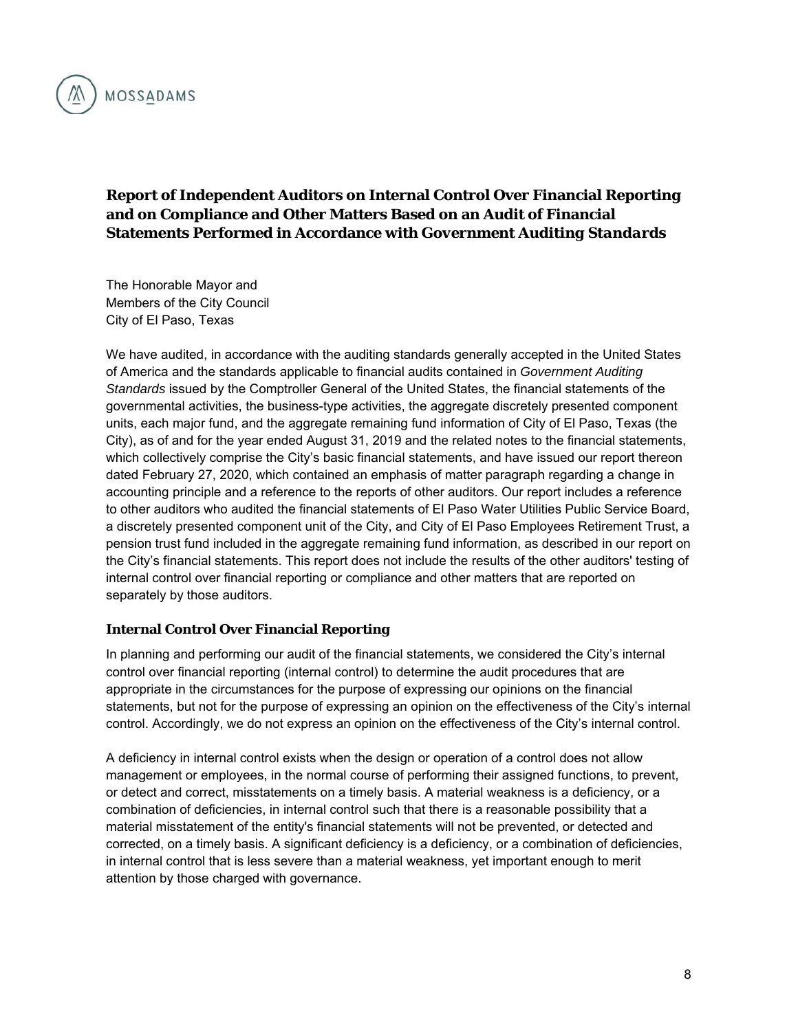

### **Report of Independent Auditors on Internal Control Over Financial Reporting and on Compliance and Other Matters Based on an Audit of Financial Statements Performed in Accordance with** *Government Auditing Standards*

The Honorable Mayor and Members of the City Council City of El Paso, Texas

We have audited, in accordance with the auditing standards generally accepted in the United States of America and the standards applicable to financial audits contained in *Government Auditing Standards* issued by the Comptroller General of the United States, the financial statements of the governmental activities, the business-type activities, the aggregate discretely presented component units, each major fund, and the aggregate remaining fund information of City of El Paso, Texas (the City), as of and for the year ended August 31, 2019 and the related notes to the financial statements, which collectively comprise the City's basic financial statements, and have issued our report thereon dated February 27, 2020, which contained an emphasis of matter paragraph regarding a change in accounting principle and a reference to the reports of other auditors. Our report includes a reference to other auditors who audited the financial statements of El Paso Water Utilities Public Service Board, a discretely presented component unit of the City, and City of El Paso Employees Retirement Trust, a pension trust fund included in the aggregate remaining fund information, as described in our report on the City's financial statements. This report does not include the results of the other auditors' testing of internal control over financial reporting or compliance and other matters that are reported on separately by those auditors.

#### **Internal Control Over Financial Reporting**

In planning and performing our audit of the financial statements, we considered the City's internal control over financial reporting (internal control) to determine the audit procedures that are appropriate in the circumstances for the purpose of expressing our opinions on the financial statements, but not for the purpose of expressing an opinion on the effectiveness of the City's internal control. Accordingly, we do not express an opinion on the effectiveness of the City's internal control.

A deficiency in internal control exists when the design or operation of a control does not allow management or employees, in the normal course of performing their assigned functions, to prevent, or detect and correct, misstatements on a timely basis. A material weakness is a deficiency, or a combination of deficiencies, in internal control such that there is a reasonable possibility that a material misstatement of the entity's financial statements will not be prevented, or detected and corrected, on a timely basis. A significant deficiency is a deficiency, or a combination of deficiencies, in internal control that is less severe than a material weakness, yet important enough to merit attention by those charged with governance.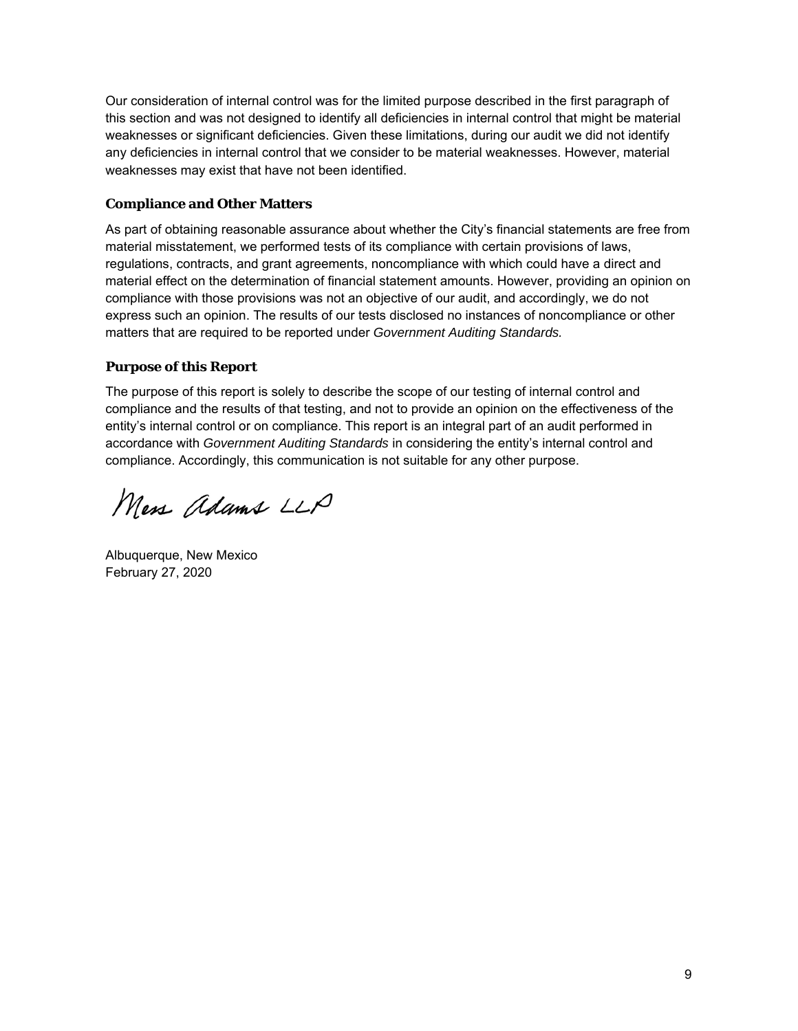Our consideration of internal control was for the limited purpose described in the first paragraph of this section and was not designed to identify all deficiencies in internal control that might be material weaknesses or significant deficiencies. Given these limitations, during our audit we did not identify any deficiencies in internal control that we consider to be material weaknesses. However, material weaknesses may exist that have not been identified.

#### **Compliance and Other Matters**

As part of obtaining reasonable assurance about whether the City's financial statements are free from material misstatement, we performed tests of its compliance with certain provisions of laws, regulations, contracts, and grant agreements, noncompliance with which could have a direct and material effect on the determination of financial statement amounts. However, providing an opinion on compliance with those provisions was not an objective of our audit, and accordingly, we do not express such an opinion. The results of our tests disclosed no instances of noncompliance or other matters that are required to be reported under *Government Auditing Standards.*

#### **Purpose of this Report**

The purpose of this report is solely to describe the scope of our testing of internal control and compliance and the results of that testing, and not to provide an opinion on the effectiveness of the entity's internal control or on compliance. This report is an integral part of an audit performed in accordance with *Government Auditing Standards* in considering the entity's internal control and compliance. Accordingly, this communication is not suitable for any other purpose.

Mess adams LLP

Albuquerque, New Mexico February 27, 2020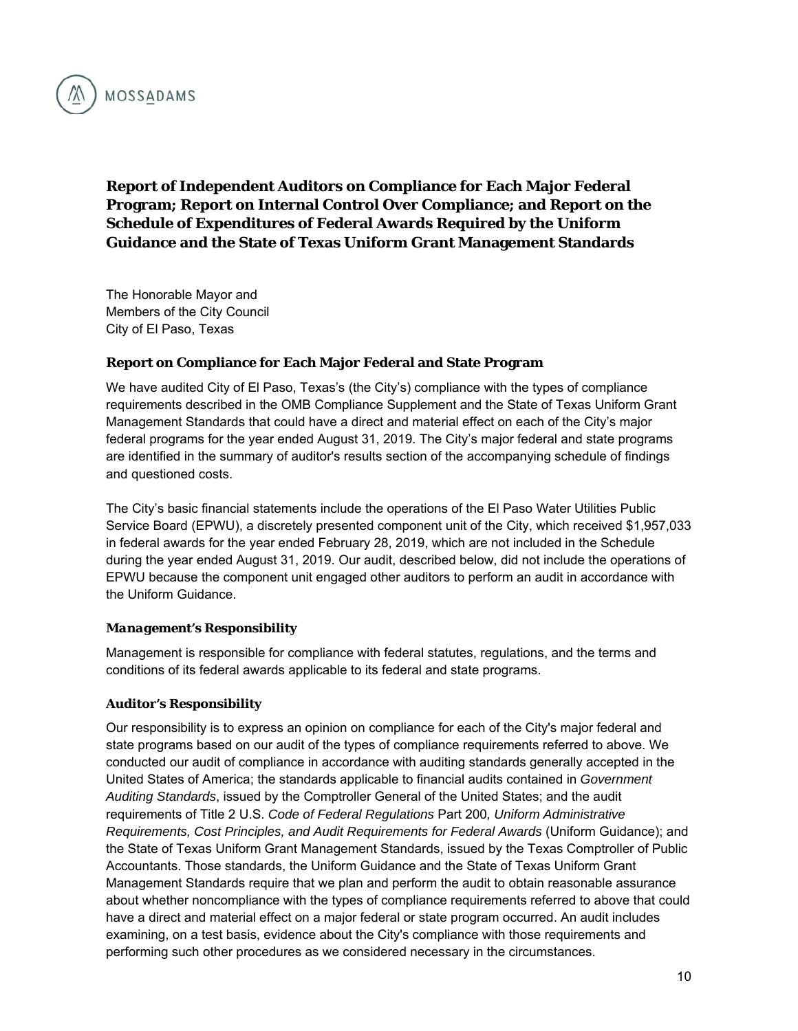

**Report of Independent Auditors on Compliance for Each Major Federal Program; Report on Internal Control Over Compliance; and Report on the Schedule of Expenditures of Federal Awards Required by the Uniform Guidance and the State of Texas Uniform Grant Management Standards** 

The Honorable Mayor and Members of the City Council City of El Paso, Texas

#### **Report on Compliance for Each Major Federal and State Program**

We have audited City of El Paso, Texas's (the City's) compliance with the types of compliance requirements described in the OMB Compliance Supplement and the State of Texas Uniform Grant Management Standards that could have a direct and material effect on each of the City's major federal programs for the year ended August 31, 2019. The City's major federal and state programs are identified in the summary of auditor's results section of the accompanying schedule of findings and questioned costs.

The City's basic financial statements include the operations of the El Paso Water Utilities Public Service Board (EPWU), a discretely presented component unit of the City, which received \$1,957,033 in federal awards for the year ended February 28, 2019, which are not included in the Schedule during the year ended August 31, 2019. Our audit, described below, did not include the operations of EPWU because the component unit engaged other auditors to perform an audit in accordance with the Uniform Guidance.

#### *Management's Responsibility*

Management is responsible for compliance with federal statutes, regulations, and the terms and conditions of its federal awards applicable to its federal and state programs.

#### *Auditor's Responsibility*

Our responsibility is to express an opinion on compliance for each of the City's major federal and state programs based on our audit of the types of compliance requirements referred to above. We conducted our audit of compliance in accordance with auditing standards generally accepted in the United States of America; the standards applicable to financial audits contained in *Government Auditing Standards*, issued by the Comptroller General of the United States; and the audit requirements of Title 2 U.S. *Code of Federal Regulations* Part 200*, Uniform Administrative Requirements, Cost Principles, and Audit Requirements for Federal Awards* (Uniform Guidance); and the State of Texas Uniform Grant Management Standards, issued by the Texas Comptroller of Public Accountants. Those standards, the Uniform Guidance and the State of Texas Uniform Grant Management Standards require that we plan and perform the audit to obtain reasonable assurance about whether noncompliance with the types of compliance requirements referred to above that could have a direct and material effect on a major federal or state program occurred. An audit includes examining, on a test basis, evidence about the City's compliance with those requirements and performing such other procedures as we considered necessary in the circumstances.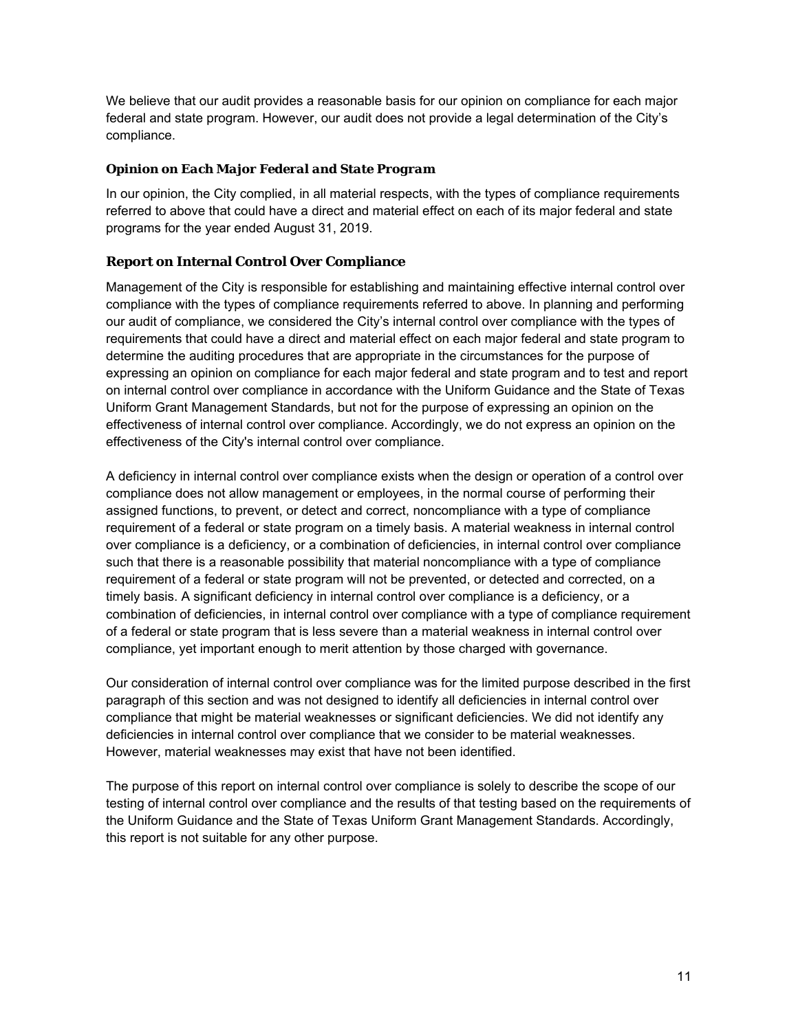We believe that our audit provides a reasonable basis for our opinion on compliance for each major federal and state program. However, our audit does not provide a legal determination of the City's compliance.

#### *Opinion on Each Major Federal and State Program*

In our opinion, the City complied, in all material respects, with the types of compliance requirements referred to above that could have a direct and material effect on each of its major federal and state programs for the year ended August 31, 2019.

#### **Report on Internal Control Over Compliance**

Management of the City is responsible for establishing and maintaining effective internal control over compliance with the types of compliance requirements referred to above. In planning and performing our audit of compliance, we considered the City's internal control over compliance with the types of requirements that could have a direct and material effect on each major federal and state program to determine the auditing procedures that are appropriate in the circumstances for the purpose of expressing an opinion on compliance for each major federal and state program and to test and report on internal control over compliance in accordance with the Uniform Guidance and the State of Texas Uniform Grant Management Standards, but not for the purpose of expressing an opinion on the effectiveness of internal control over compliance. Accordingly, we do not express an opinion on the effectiveness of the City's internal control over compliance.

A deficiency in internal control over compliance exists when the design or operation of a control over compliance does not allow management or employees, in the normal course of performing their assigned functions, to prevent, or detect and correct, noncompliance with a type of compliance requirement of a federal or state program on a timely basis. A material weakness in internal control over compliance is a deficiency, or a combination of deficiencies, in internal control over compliance such that there is a reasonable possibility that material noncompliance with a type of compliance requirement of a federal or state program will not be prevented, or detected and corrected, on a timely basis. A significant deficiency in internal control over compliance is a deficiency, or a combination of deficiencies, in internal control over compliance with a type of compliance requirement of a federal or state program that is less severe than a material weakness in internal control over compliance, yet important enough to merit attention by those charged with governance.

Our consideration of internal control over compliance was for the limited purpose described in the first paragraph of this section and was not designed to identify all deficiencies in internal control over compliance that might be material weaknesses or significant deficiencies. We did not identify any deficiencies in internal control over compliance that we consider to be material weaknesses. However, material weaknesses may exist that have not been identified.

The purpose of this report on internal control over compliance is solely to describe the scope of our testing of internal control over compliance and the results of that testing based on the requirements of the Uniform Guidance and the State of Texas Uniform Grant Management Standards. Accordingly, this report is not suitable for any other purpose.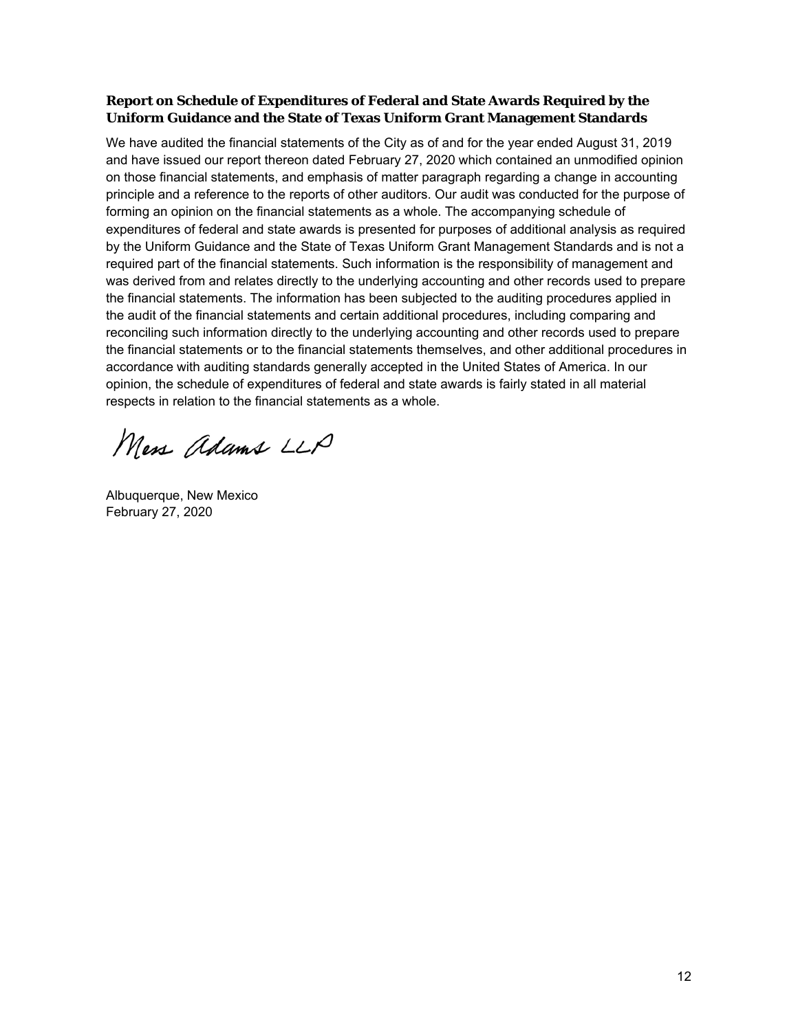#### **Report on Schedule of Expenditures of Federal and State Awards Required by the Uniform Guidance and the State of Texas Uniform Grant Management Standards**

We have audited the financial statements of the City as of and for the year ended August 31, 2019 and have issued our report thereon dated February 27, 2020 which contained an unmodified opinion on those financial statements, and emphasis of matter paragraph regarding a change in accounting principle and a reference to the reports of other auditors. Our audit was conducted for the purpose of forming an opinion on the financial statements as a whole. The accompanying schedule of expenditures of federal and state awards is presented for purposes of additional analysis as required by the Uniform Guidance and the State of Texas Uniform Grant Management Standards and is not a required part of the financial statements. Such information is the responsibility of management and was derived from and relates directly to the underlying accounting and other records used to prepare the financial statements. The information has been subjected to the auditing procedures applied in the audit of the financial statements and certain additional procedures, including comparing and reconciling such information directly to the underlying accounting and other records used to prepare the financial statements or to the financial statements themselves, and other additional procedures in accordance with auditing standards generally accepted in the United States of America. In our opinion, the schedule of expenditures of federal and state awards is fairly stated in all material respects in relation to the financial statements as a whole.

Mess adams LLP

Albuquerque, New Mexico February 27, 2020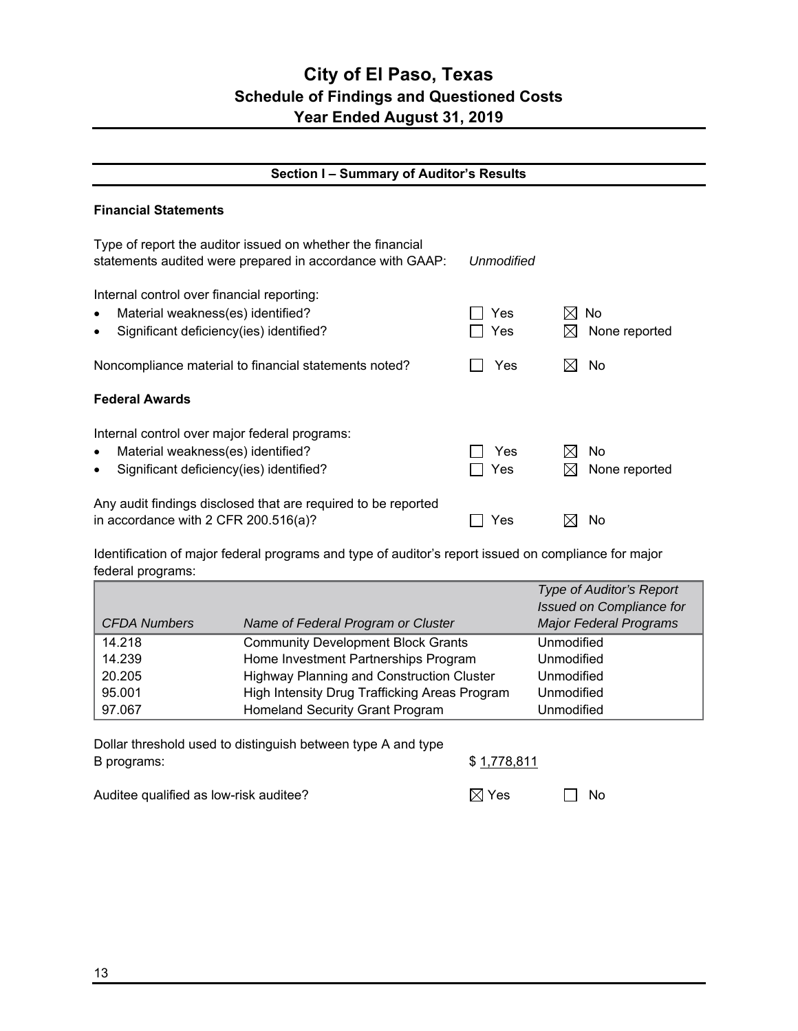|  |  | Section I - Summary of Auditor's Results |
|--|--|------------------------------------------|
|--|--|------------------------------------------|

#### **Financial Statements**

| Type of report the auditor issued on whether the financial<br>statements audited were prepared in accordance with GAAP:                         | Unmodified        |                     |
|-------------------------------------------------------------------------------------------------------------------------------------------------|-------------------|---------------------|
| Internal control over financial reporting:<br>Material weakness(es) identified?<br>٠<br>Significant deficiency(ies) identified?<br>٠            | Yes<br>Yes        | No<br>None reported |
| Noncompliance material to financial statements noted?                                                                                           | Yes               | No                  |
| <b>Federal Awards</b>                                                                                                                           |                   |                     |
| Internal control over major federal programs:<br>Material weakness(es) identified?<br>$\bullet$<br>Significant deficiency(ies) identified?<br>٠ | <b>Yes</b><br>Yes | No<br>None reported |
| Any audit findings disclosed that are required to be reported<br>in accordance with 2 CFR 200.516(a)?                                           | Yes               | No                  |

Identification of major federal programs and type of auditor's report issued on compliance for major federal programs:

|                     |                                                  | Type of Auditor's Report        |
|---------------------|--------------------------------------------------|---------------------------------|
|                     |                                                  | <b>Issued on Compliance for</b> |
| <b>CFDA Numbers</b> | Name of Federal Program or Cluster               | <b>Major Federal Programs</b>   |
| 14.218              | <b>Community Development Block Grants</b>        | Unmodified                      |
| 14.239              | Home Investment Partnerships Program             | Unmodified                      |
| 20.205              | <b>Highway Planning and Construction Cluster</b> | Unmodified                      |
| 95.001              | High Intensity Drug Trafficking Areas Program    | Unmodified                      |
| 97.067              | Homeland Security Grant Program                  | Unmodified                      |

| Dollar threshold used to distinguish between type A and type |             |
|--------------------------------------------------------------|-------------|
| B programs:                                                  | \$1,778,811 |
|                                                              |             |

Auditee qualified as low-risk auditee?  $\boxtimes$  Yes  $\Box$  No

| $\boxtimes$ Yes |  |  |
|-----------------|--|--|

ä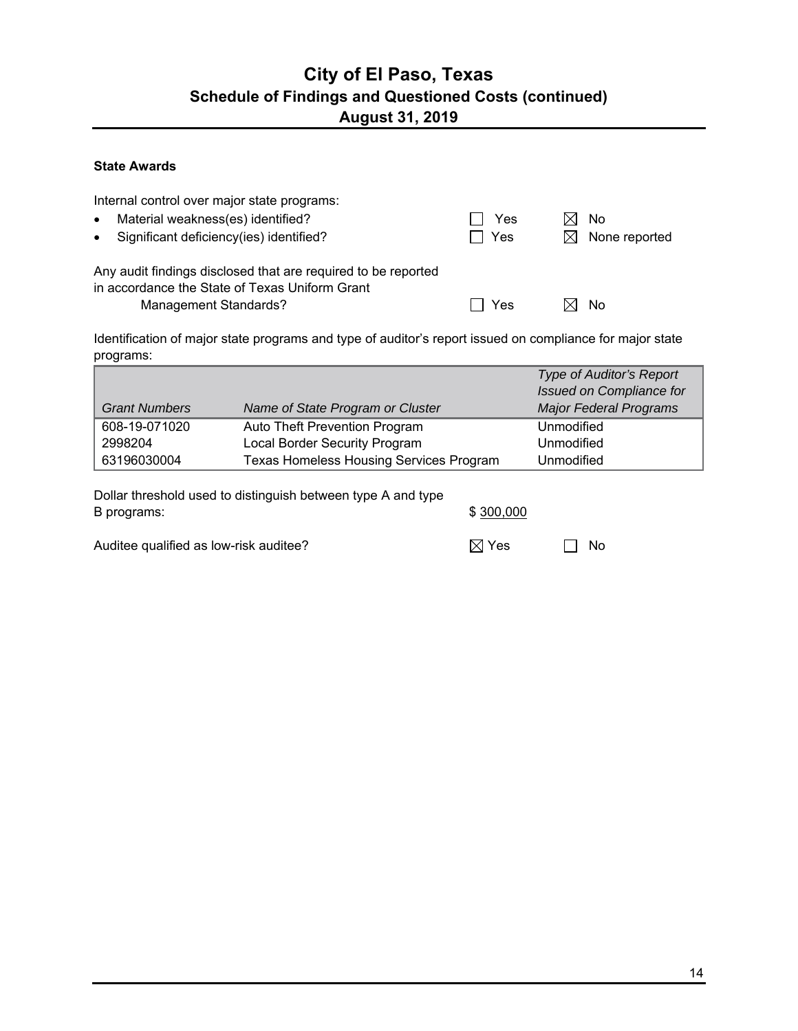## **City of El Paso, Texas Schedule of Findings and Questioned Costs (continued) August 31, 2019**

#### **State Awards**

| Internal control over major state programs:                   |         |                           |
|---------------------------------------------------------------|---------|---------------------------|
| Material weakness(es) identified?<br>$\bullet$                | Yes     | - No                      |
| Significant deficiency(ies) identified?<br>$\bullet$          | ∣ I Yes | $\boxtimes$ None reported |
| Any audit findings disclosed that are required to be reported |         |                           |
| in accordance the State of Texas Uniform Grant                |         |                           |
| Management Standards?                                         | Yes     | No                        |

Identification of major state programs and type of auditor's report issued on compliance for major state programs:

|                      |                                                | <b>Type of Auditor's Report</b> |
|----------------------|------------------------------------------------|---------------------------------|
|                      |                                                | <b>Issued on Compliance for</b> |
| <b>Grant Numbers</b> | Name of State Program or Cluster               | <b>Major Federal Programs</b>   |
| 608-19-071020        | Auto Theft Prevention Program                  | Unmodified                      |
| 2998204              | Local Border Security Program                  | Unmodified                      |
| 63196030004          | <b>Texas Homeless Housing Services Program</b> | Unmodified                      |

| Dollar threshold used to distinguish between type A and type |           |
|--------------------------------------------------------------|-----------|
| B programs:                                                  | \$300,000 |

| Auditee qualified as low-risk auditee? | $\boxtimes$ Yes | No. |
|----------------------------------------|-----------------|-----|
|                                        |                 |     |

| ⊠ Yes |  |
|-------|--|
|-------|--|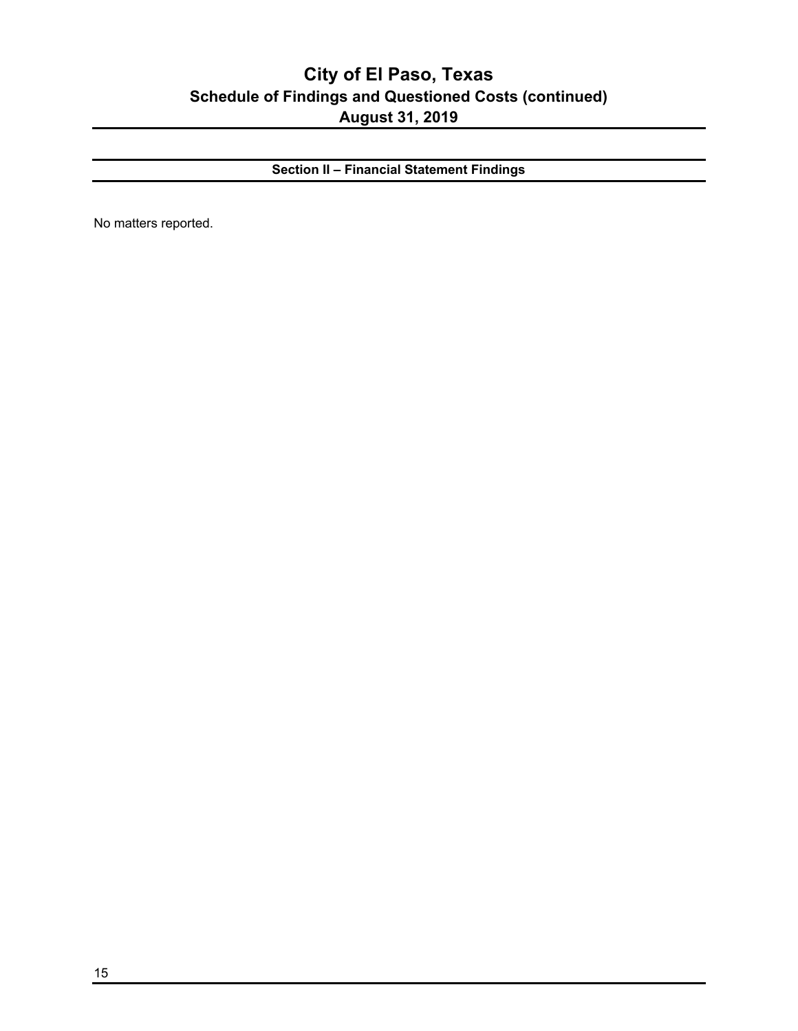## **City of El Paso, Texas Schedule of Findings and Questioned Costs (continued) August 31, 2019**

**Section II – Financial Statement Findings** 

No matters reported.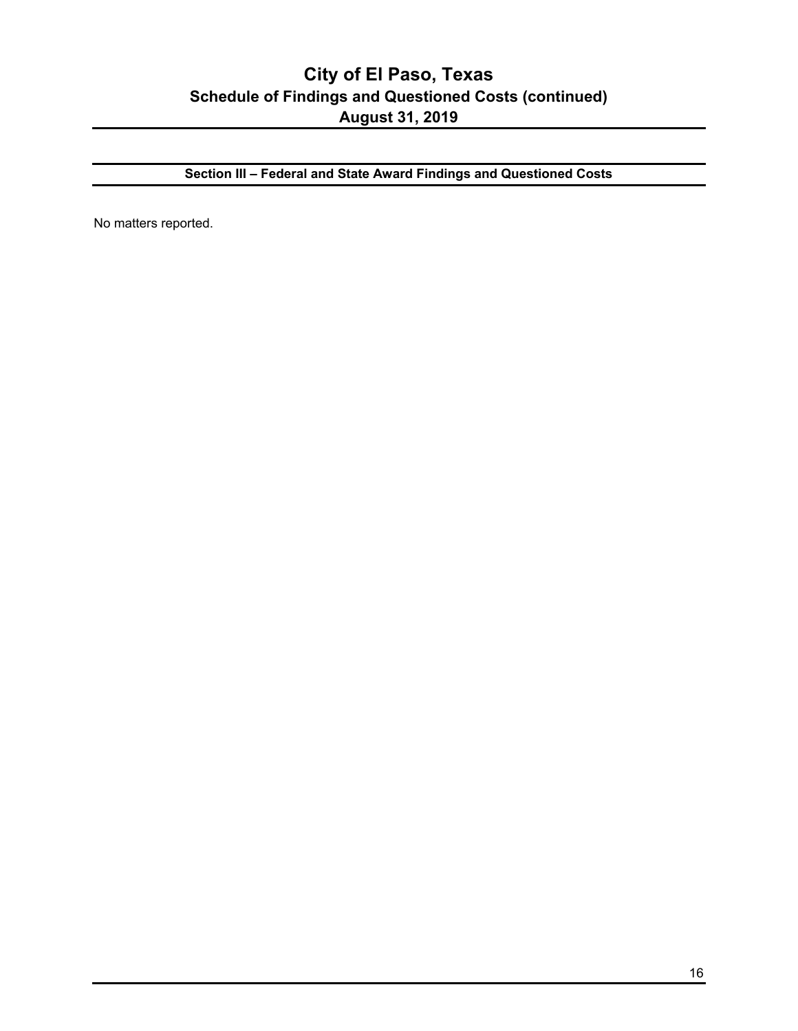## **City of El Paso, Texas Schedule of Findings and Questioned Costs (continued) August 31, 2019**

**Section III – Federal and State Award Findings and Questioned Costs**

No matters reported.